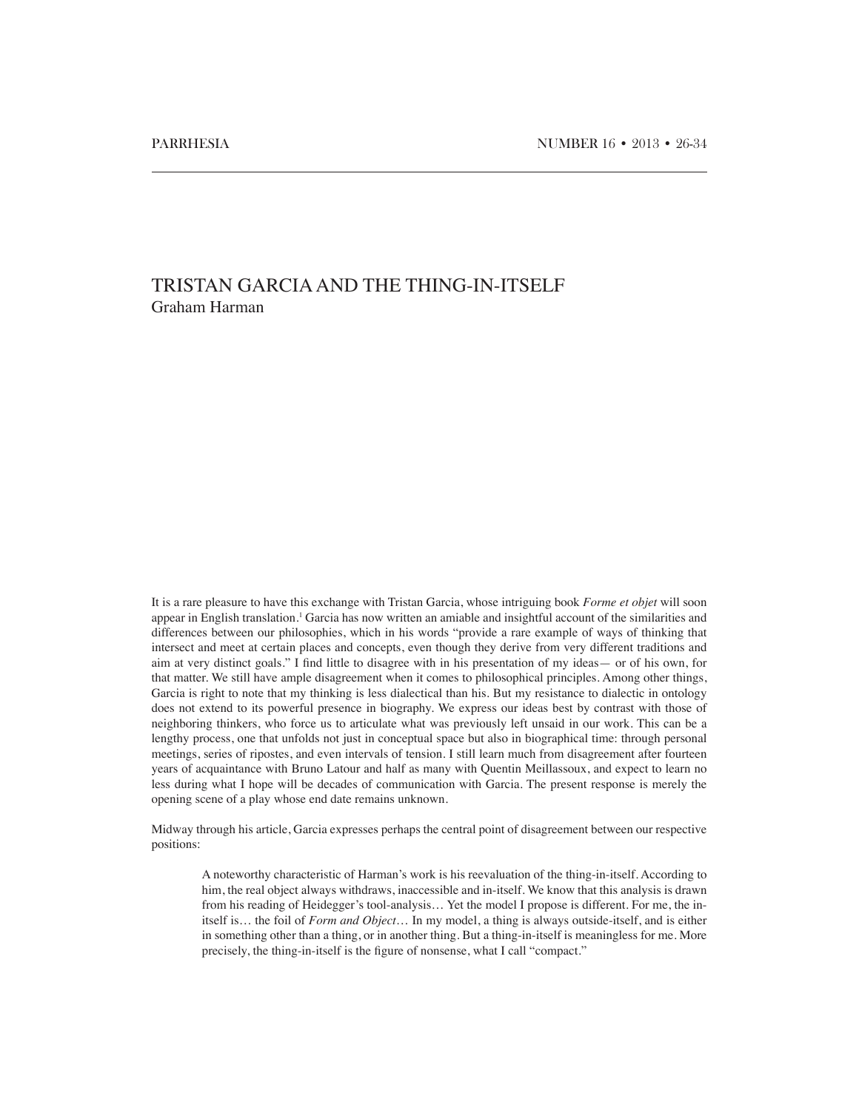# TRISTAN GARCIA AND THE THING-IN-ITSELF Graham Harman

It is a rare pleasure to have this exchange with Tristan Garcia, whose intriguing book *Forme et objet* will soon appear in English translation.<sup>1</sup> Garcia has now written an amiable and insightful account of the similarities and differences between our philosophies, which in his words "provide a rare example of ways of thinking that intersect and meet at certain places and concepts, even though they derive from very different traditions and aim at very distinct goals." I find little to disagree with in his presentation of my ideas— or of his own, for that matter. We still have ample disagreement when it comes to philosophical principles. Among other things, Garcia is right to note that my thinking is less dialectical than his. But my resistance to dialectic in ontology does not extend to its powerful presence in biography. We express our ideas best by contrast with those of neighboring thinkers, who force us to articulate what was previously left unsaid in our work. This can be a lengthy process, one that unfolds not just in conceptual space but also in biographical time: through personal meetings, series of ripostes, and even intervals of tension. I still learn much from disagreement after fourteen years of acquaintance with Bruno Latour and half as many with Quentin Meillassoux, and expect to learn no less during what I hope will be decades of communication with Garcia. The present response is merely the opening scene of a play whose end date remains unknown.

Midway through his article, Garcia expresses perhaps the central point of disagreement between our respective positions:

A noteworthy characteristic of Harman's work is his reevaluation of the thing-in-itself. According to him, the real object always withdraws, inaccessible and in-itself. We know that this analysis is drawn from his reading of Heidegger's tool-analysis… Yet the model I propose is different. For me, the initself is… the foil of *Form and Object*… In my model, a thing is always outside-itself, and is either in something other than a thing, or in another thing. But a thing-in-itself is meaningless for me. More precisely, the thing-in-itself is the figure of nonsense, what I call "compact."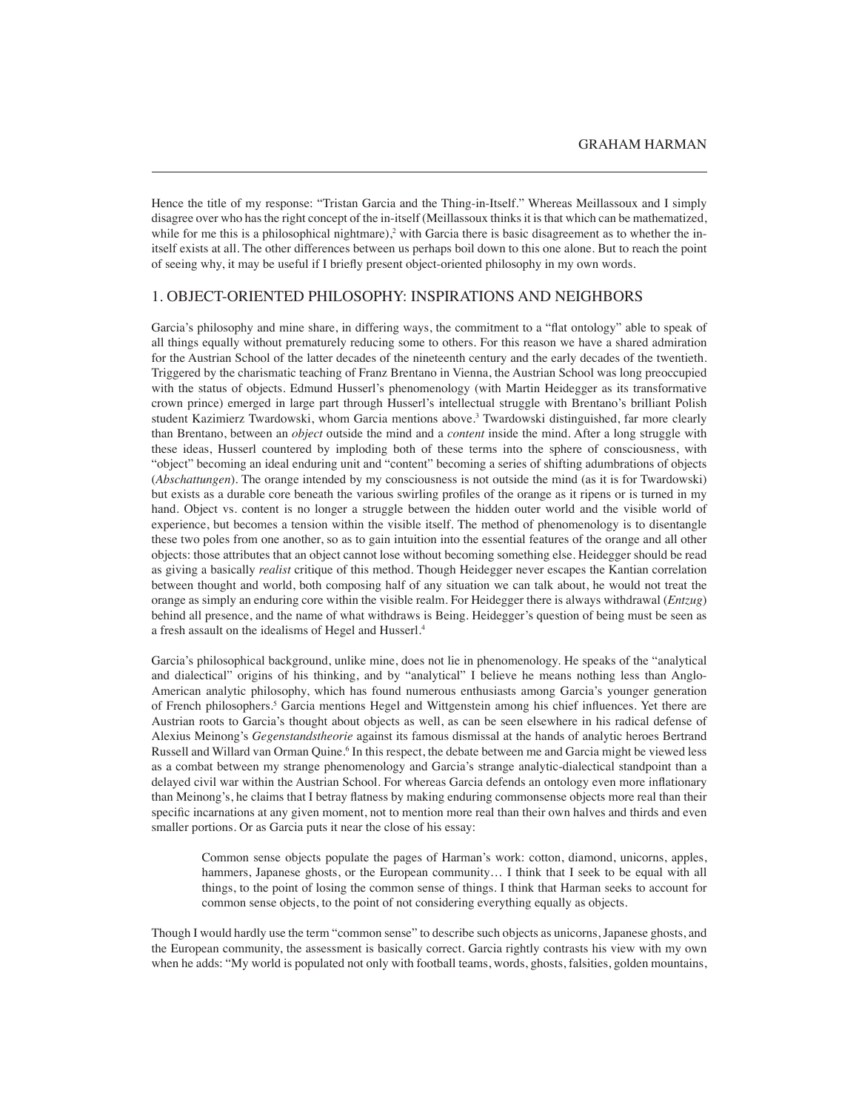Hence the title of my response: "Tristan Garcia and the Thing-in-Itself." Whereas Meillassoux and I simply disagree over who has the right concept of the in-itself (Meillassoux thinks it is that which can be mathematized, while for me this is a philosophical nightmare),<sup>2</sup> with Garcia there is basic disagreement as to whether the initself exists at all. The other differences between us perhaps boil down to this one alone. But to reach the point of seeing why, it may be useful if I briefly present object-oriented philosophy in my own words.

## 1. OBJECT-ORIENTED PHILOSOPHY: INSPIRATIONS AND NEIGHBORS

Garcia's philosophy and mine share, in differing ways, the commitment to a "flat ontology" able to speak of all things equally without prematurely reducing some to others. For this reason we have a shared admiration for the Austrian School of the latter decades of the nineteenth century and the early decades of the twentieth. Triggered by the charismatic teaching of Franz Brentano in Vienna, the Austrian School was long preoccupied with the status of objects. Edmund Husserl's phenomenology (with Martin Heidegger as its transformative crown prince) emerged in large part through Husserl's intellectual struggle with Brentano's brilliant Polish student Kazimierz Twardowski, whom Garcia mentions above.<sup>3</sup> Twardowski distinguished, far more clearly than Brentano, between an *object* outside the mind and a *content* inside the mind. After a long struggle with these ideas, Husserl countered by imploding both of these terms into the sphere of consciousness, with "object" becoming an ideal enduring unit and "content" becoming a series of shifting adumbrations of objects (*Abschattungen*). The orange intended by my consciousness is not outside the mind (as it is for Twardowski) but exists as a durable core beneath the various swirling profiles of the orange as it ripens or is turned in my hand. Object vs. content is no longer a struggle between the hidden outer world and the visible world of experience, but becomes a tension within the visible itself. The method of phenomenology is to disentangle these two poles from one another, so as to gain intuition into the essential features of the orange and all other objects: those attributes that an object cannot lose without becoming something else. Heidegger should be read as giving a basically *realist* critique of this method. Though Heidegger never escapes the Kantian correlation between thought and world, both composing half of any situation we can talk about, he would not treat the orange as simply an enduring core within the visible realm. For Heidegger there is always withdrawal (*Entzug*) behind all presence, and the name of what withdraws is Being. Heidegger's question of being must be seen as a fresh assault on the idealisms of Hegel and Husserl.4

Garcia's philosophical background, unlike mine, does not lie in phenomenology. He speaks of the "analytical and dialectical" origins of his thinking, and by "analytical" I believe he means nothing less than Anglo-American analytic philosophy, which has found numerous enthusiasts among Garcia's younger generation of French philosophers.<sup>5</sup> Garcia mentions Hegel and Wittgenstein among his chief influences. Yet there are Austrian roots to Garcia's thought about objects as well, as can be seen elsewhere in his radical defense of Alexius Meinong's *Gegenstandstheorie* against its famous dismissal at the hands of analytic heroes Bertrand Russell and Willard van Orman Quine.<sup>6</sup> In this respect, the debate between me and Garcia might be viewed less as a combat between my strange phenomenology and Garcia's strange analytic-dialectical standpoint than a delayed civil war within the Austrian School. For whereas Garcia defends an ontology even more inflationary than Meinong's, he claims that I betray flatness by making enduring commonsense objects more real than their specific incarnations at any given moment, not to mention more real than their own halves and thirds and even smaller portions. Or as Garcia puts it near the close of his essay:

Common sense objects populate the pages of Harman's work: cotton, diamond, unicorns, apples, hammers, Japanese ghosts, or the European community... I think that I seek to be equal with all things, to the point of losing the common sense of things. I think that Harman seeks to account for common sense objects, to the point of not considering everything equally as objects.

Though I would hardly use the term "common sense" to describe such objects as unicorns, Japanese ghosts, and the European community, the assessment is basically correct. Garcia rightly contrasts his view with my own when he adds: "My world is populated not only with football teams, words, ghosts, falsities, golden mountains,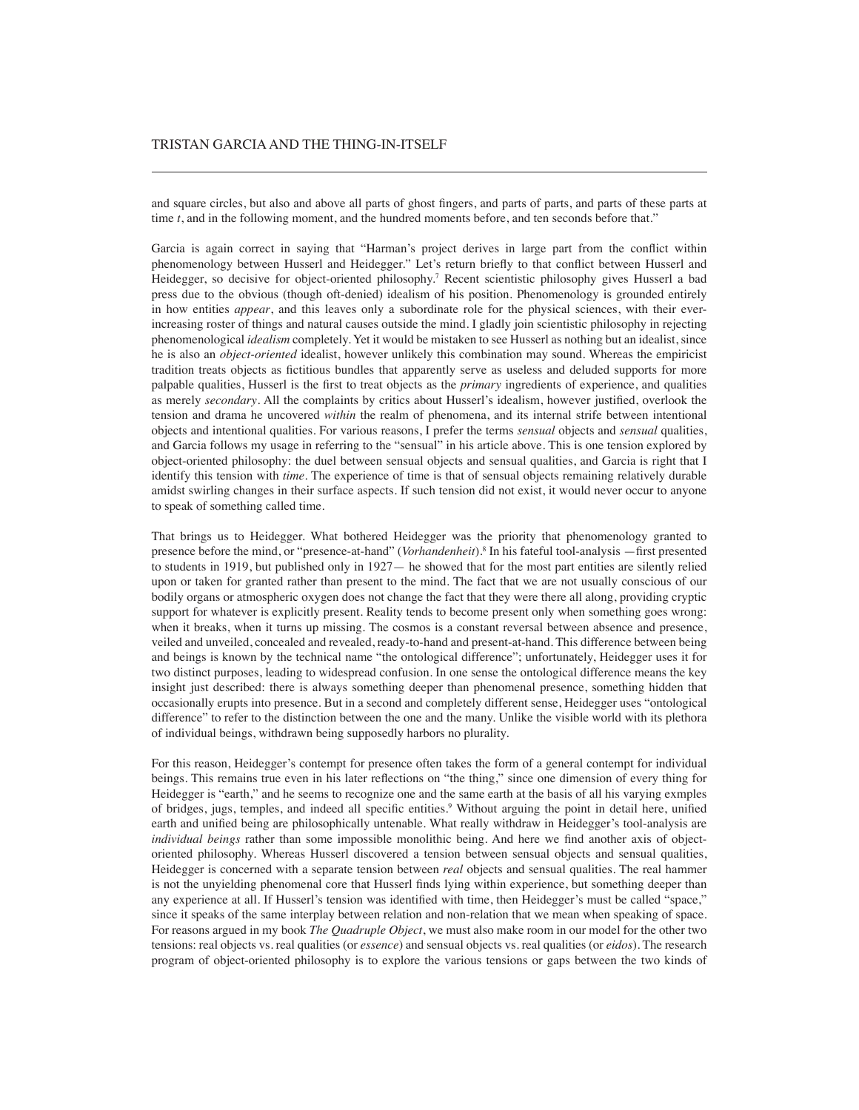## TRISTAN GARCIA AND THE THING-IN-ITSELF

and square circles, but also and above all parts of ghost fingers, and parts of parts, and parts of these parts at time *t*, and in the following moment, and the hundred moments before, and ten seconds before that."

Garcia is again correct in saying that "Harman's project derives in large part from the conflict within phenomenology between Husserl and Heidegger." Let's return briefly to that conflict between Husserl and Heidegger, so decisive for object-oriented philosophy.7 Recent scientistic philosophy gives Husserl a bad press due to the obvious (though oft-denied) idealism of his position. Phenomenology is grounded entirely in how entities *appear*, and this leaves only a subordinate role for the physical sciences, with their everincreasing roster of things and natural causes outside the mind. I gladly join scientistic philosophy in rejecting phenomenological *idealism* completely. Yet it would be mistaken to see Husserl as nothing but an idealist, since he is also an *object-oriented* idealist, however unlikely this combination may sound. Whereas the empiricist tradition treats objects as fictitious bundles that apparently serve as useless and deluded supports for more palpable qualities, Husserl is the first to treat objects as the *primary* ingredients of experience, and qualities as merely *secondary*. All the complaints by critics about Husserl's idealism, however justified, overlook the tension and drama he uncovered *within* the realm of phenomena, and its internal strife between intentional objects and intentional qualities. For various reasons, I prefer the terms *sensual* objects and *sensual* qualities, and Garcia follows my usage in referring to the "sensual" in his article above. This is one tension explored by object-oriented philosophy: the duel between sensual objects and sensual qualities, and Garcia is right that I identify this tension with *time*. The experience of time is that of sensual objects remaining relatively durable amidst swirling changes in their surface aspects. If such tension did not exist, it would never occur to anyone to speak of something called time.

That brings us to Heidegger. What bothered Heidegger was the priority that phenomenology granted to presence before the mind, or "presence-at-hand" (*Vorhandenheit*).8 In his fateful tool-analysis —first presented to students in 1919, but published only in 1927— he showed that for the most part entities are silently relied upon or taken for granted rather than present to the mind. The fact that we are not usually conscious of our bodily organs or atmospheric oxygen does not change the fact that they were there all along, providing cryptic support for whatever is explicitly present. Reality tends to become present only when something goes wrong: when it breaks, when it turns up missing. The cosmos is a constant reversal between absence and presence, veiled and unveiled, concealed and revealed, ready-to-hand and present-at-hand. This difference between being and beings is known by the technical name "the ontological difference"; unfortunately, Heidegger uses it for two distinct purposes, leading to widespread confusion. In one sense the ontological difference means the key insight just described: there is always something deeper than phenomenal presence, something hidden that occasionally erupts into presence. But in a second and completely different sense, Heidegger uses "ontological difference" to refer to the distinction between the one and the many. Unlike the visible world with its plethora of individual beings, withdrawn being supposedly harbors no plurality.

For this reason, Heidegger's contempt for presence often takes the form of a general contempt for individual beings. This remains true even in his later reflections on "the thing," since one dimension of every thing for Heidegger is "earth," and he seems to recognize one and the same earth at the basis of all his varying exmples of bridges, jugs, temples, and indeed all specific entities.<sup>9</sup> Without arguing the point in detail here, unified earth and unified being are philosophically untenable. What really withdraw in Heidegger's tool-analysis are *individual beings* rather than some impossible monolithic being. And here we find another axis of objectoriented philosophy. Whereas Husserl discovered a tension between sensual objects and sensual qualities, Heidegger is concerned with a separate tension between *real* objects and sensual qualities. The real hammer is not the unyielding phenomenal core that Husserl finds lying within experience, but something deeper than any experience at all. If Husserl's tension was identified with time, then Heidegger's must be called "space," since it speaks of the same interplay between relation and non-relation that we mean when speaking of space. For reasons argued in my book *The Quadruple Object*, we must also make room in our model for the other two tensions: real objects vs. real qualities (or *essence*) and sensual objects vs. real qualities (or *eidos*). The research program of object-oriented philosophy is to explore the various tensions or gaps between the two kinds of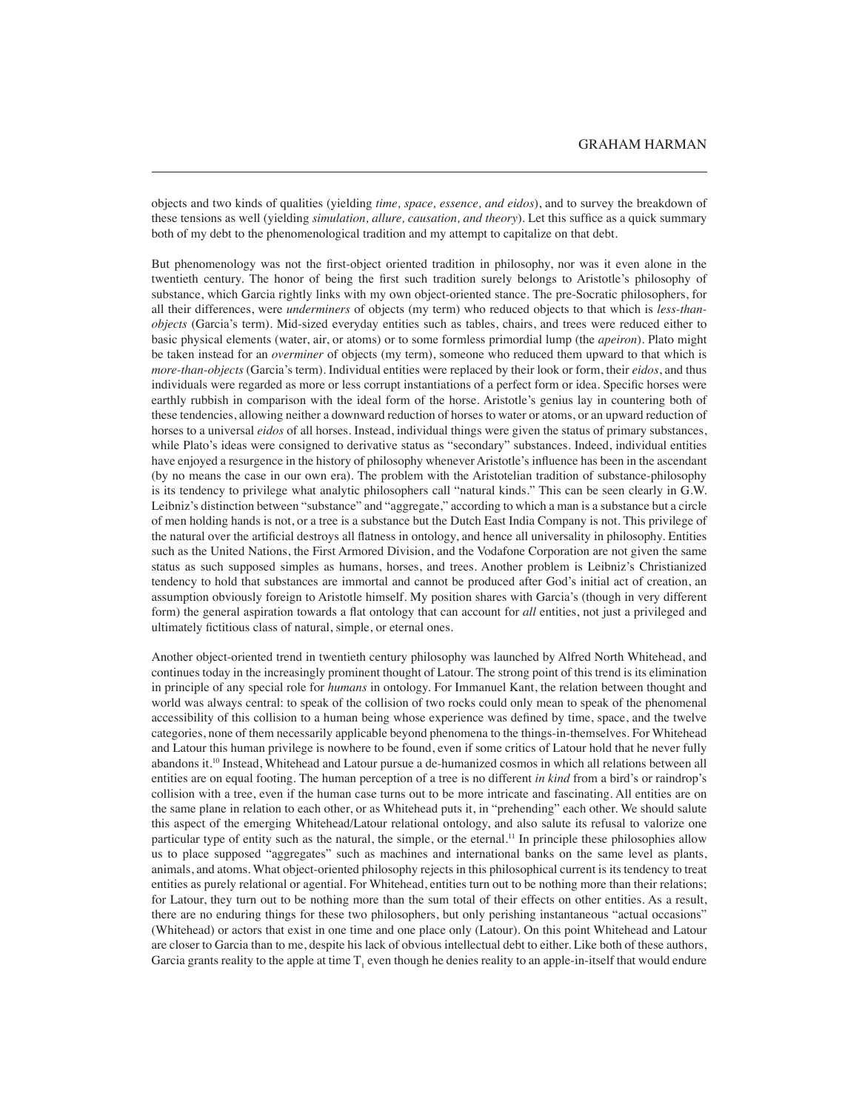objects and two kinds of qualities (yielding *time, space, essence, and eidos*), and to survey the breakdown of these tensions as well (yielding *simulation, allure, causation, and theory*). Let this suffice as a quick summary both of my debt to the phenomenological tradition and my attempt to capitalize on that debt.

But phenomenology was not the first-object oriented tradition in philosophy, nor was it even alone in the twentieth century. The honor of being the first such tradition surely belongs to Aristotle's philosophy of substance, which Garcia rightly links with my own object-oriented stance. The pre-Socratic philosophers, for all their differences, were *underminers* of objects (my term) who reduced objects to that which is *less-thanobjects* (Garcia's term). Mid-sized everyday entities such as tables, chairs, and trees were reduced either to basic physical elements (water, air, or atoms) or to some formless primordial lump (the *apeiron*). Plato might be taken instead for an *overminer* of objects (my term), someone who reduced them upward to that which is *more-than-objects* (Garcia's term). Individual entities were replaced by their look or form, their *eidos*, and thus individuals were regarded as more or less corrupt instantiations of a perfect form or idea. Specific horses were earthly rubbish in comparison with the ideal form of the horse. Aristotle's genius lay in countering both of these tendencies, allowing neither a downward reduction of horses to water or atoms, or an upward reduction of horses to a universal *eidos* of all horses. Instead, individual things were given the status of primary substances, while Plato's ideas were consigned to derivative status as "secondary" substances. Indeed, individual entities have enjoyed a resurgence in the history of philosophy whenever Aristotle's influence has been in the ascendant (by no means the case in our own era). The problem with the Aristotelian tradition of substance-philosophy is its tendency to privilege what analytic philosophers call "natural kinds." This can be seen clearly in G.W. Leibniz's distinction between "substance" and "aggregate," according to which a man is a substance but a circle of men holding hands is not, or a tree is a substance but the Dutch East India Company is not. This privilege of the natural over the artificial destroys all flatness in ontology, and hence all universality in philosophy. Entities such as the United Nations, the First Armored Division, and the Vodafone Corporation are not given the same status as such supposed simples as humans, horses, and trees. Another problem is Leibniz's Christianized tendency to hold that substances are immortal and cannot be produced after God's initial act of creation, an assumption obviously foreign to Aristotle himself. My position shares with Garcia's (though in very different form) the general aspiration towards a flat ontology that can account for *all* entities, not just a privileged and ultimately fictitious class of natural, simple, or eternal ones.

Another object-oriented trend in twentieth century philosophy was launched by Alfred North Whitehead, and continues today in the increasingly prominent thought of Latour. The strong point of this trend is its elimination in principle of any special role for *humans* in ontology. For Immanuel Kant, the relation between thought and world was always central: to speak of the collision of two rocks could only mean to speak of the phenomenal accessibility of this collision to a human being whose experience was defined by time, space, and the twelve categories, none of them necessarily applicable beyond phenomena to the things-in-themselves. For Whitehead and Latour this human privilege is nowhere to be found, even if some critics of Latour hold that he never fully abandons it.10 Instead, Whitehead and Latour pursue a de-humanized cosmos in which all relations between all entities are on equal footing. The human perception of a tree is no different *in kind* from a bird's or raindrop's collision with a tree, even if the human case turns out to be more intricate and fascinating. All entities are on the same plane in relation to each other, or as Whitehead puts it, in "prehending" each other. We should salute this aspect of the emerging Whitehead/Latour relational ontology, and also salute its refusal to valorize one particular type of entity such as the natural, the simple, or the eternal.11 In principle these philosophies allow us to place supposed "aggregates" such as machines and international banks on the same level as plants, animals, and atoms. What object-oriented philosophy rejects in this philosophical current is its tendency to treat entities as purely relational or agential. For Whitehead, entities turn out to be nothing more than their relations; for Latour, they turn out to be nothing more than the sum total of their effects on other entities. As a result, there are no enduring things for these two philosophers, but only perishing instantaneous "actual occasions" (Whitehead) or actors that exist in one time and one place only (Latour). On this point Whitehead and Latour are closer to Garcia than to me, despite his lack of obvious intellectual debt to either. Like both of these authors, Garcia grants reality to the apple at time  $T_1$  even though he denies reality to an apple-in-itself that would endure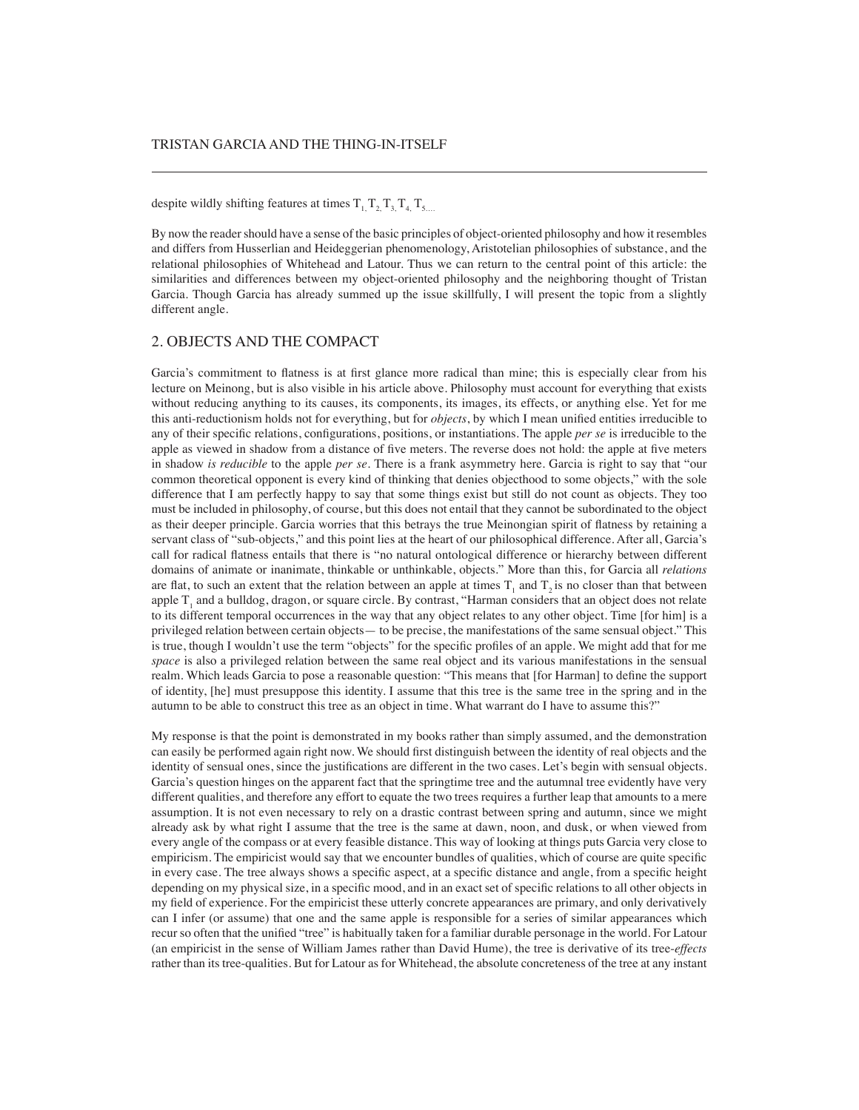despite wildly shifting features at times  $T_1, T_2, T_3, T_4, T_5$ 

By now the reader should have a sense of the basic principles of object-oriented philosophy and how it resembles and differs from Husserlian and Heideggerian phenomenology, Aristotelian philosophies of substance, and the relational philosophies of Whitehead and Latour. Thus we can return to the central point of this article: the similarities and differences between my object-oriented philosophy and the neighboring thought of Tristan Garcia. Though Garcia has already summed up the issue skillfully, I will present the topic from a slightly different angle.

#### 2. OBJECTS AND THE COMPACT

Garcia's commitment to flatness is at first glance more radical than mine; this is especially clear from his lecture on Meinong, but is also visible in his article above. Philosophy must account for everything that exists without reducing anything to its causes, its components, its images, its effects, or anything else. Yet for me this anti-reductionism holds not for everything, but for *objects*, by which I mean unified entities irreducible to any of their specific relations, configurations, positions, or instantiations. The apple *per se* is irreducible to the apple as viewed in shadow from a distance of five meters. The reverse does not hold: the apple at five meters in shadow *is reducible* to the apple *per se*. There is a frank asymmetry here. Garcia is right to say that "our common theoretical opponent is every kind of thinking that denies objecthood to some objects," with the sole difference that I am perfectly happy to say that some things exist but still do not count as objects. They too must be included in philosophy, of course, but this does not entail that they cannot be subordinated to the object as their deeper principle. Garcia worries that this betrays the true Meinongian spirit of flatness by retaining a servant class of "sub-objects," and this point lies at the heart of our philosophical difference. After all, Garcia's call for radical flatness entails that there is "no natural ontological difference or hierarchy between different domains of animate or inanimate, thinkable or unthinkable, objects." More than this, for Garcia all *relations* are flat, to such an extent that the relation between an apple at times  $T_1$  and  $T_2$  is no closer than that between apple  $T_1$  and a bulldog, dragon, or square circle. By contrast, "Harman considers that an object does not relate to its different temporal occurrences in the way that any object relates to any other object. Time [for him] is a privileged relation between certain objects— to be precise, the manifestations of the same sensual object." This is true, though I wouldn't use the term "objects" for the specific profiles of an apple. We might add that for me *space* is also a privileged relation between the same real object and its various manifestations in the sensual realm. Which leads Garcia to pose a reasonable question: "This means that [for Harman] to define the support of identity, [he] must presuppose this identity. I assume that this tree is the same tree in the spring and in the autumn to be able to construct this tree as an object in time. What warrant do I have to assume this?"

My response is that the point is demonstrated in my books rather than simply assumed, and the demonstration can easily be performed again right now. We should first distinguish between the identity of real objects and the identity of sensual ones, since the justifications are different in the two cases. Let's begin with sensual objects. Garcia's question hinges on the apparent fact that the springtime tree and the autumnal tree evidently have very different qualities, and therefore any effort to equate the two trees requires a further leap that amounts to a mere assumption. It is not even necessary to rely on a drastic contrast between spring and autumn, since we might already ask by what right I assume that the tree is the same at dawn, noon, and dusk, or when viewed from every angle of the compass or at every feasible distance. This way of looking at things puts Garcia very close to empiricism. The empiricist would say that we encounter bundles of qualities, which of course are quite specific in every case. The tree always shows a specific aspect, at a specific distance and angle, from a specific height depending on my physical size, in a specific mood, and in an exact set of specific relations to all other objects in my field of experience. For the empiricist these utterly concrete appearances are primary, and only derivatively can I infer (or assume) that one and the same apple is responsible for a series of similar appearances which recur so often that the unified "tree" is habitually taken for a familiar durable personage in the world. For Latour (an empiricist in the sense of William James rather than David Hume), the tree is derivative of its tree-*effects* rather than its tree-qualities. But for Latour as for Whitehead, the absolute concreteness of the tree at any instant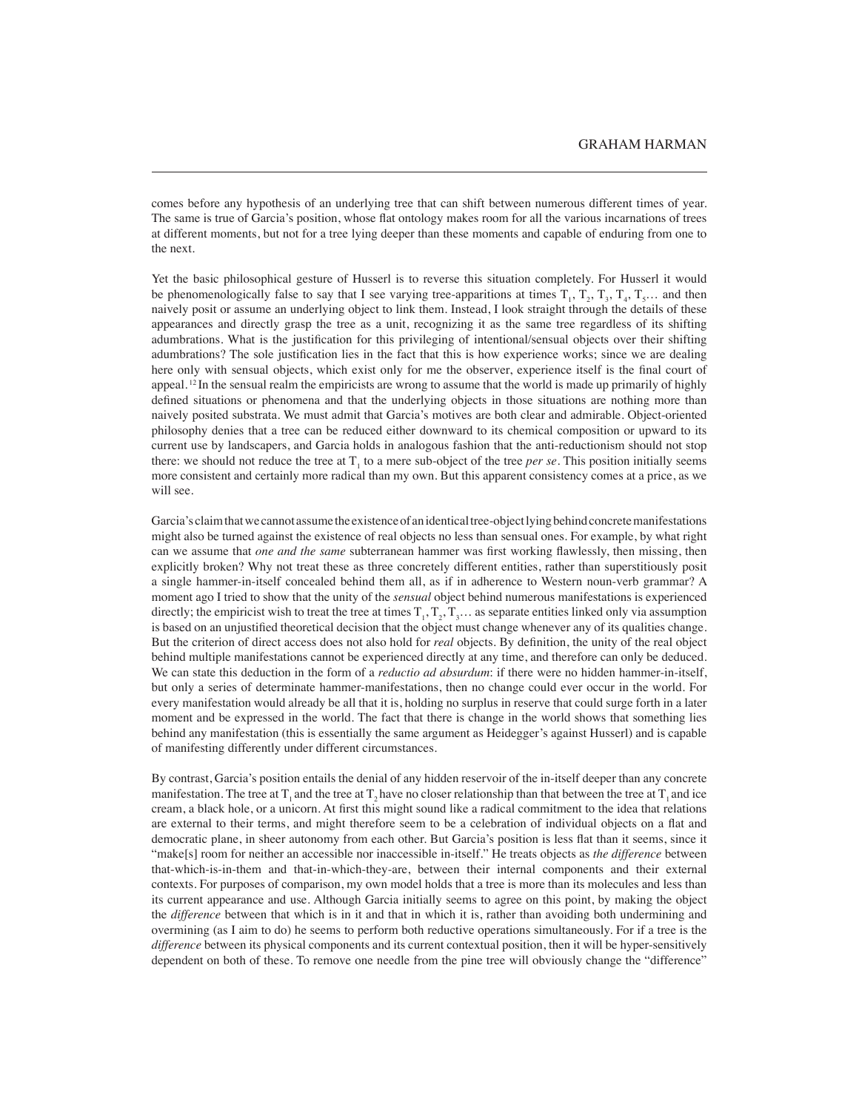comes before any hypothesis of an underlying tree that can shift between numerous different times of year. The same is true of Garcia's position, whose flat ontology makes room for all the various incarnations of trees at different moments, but not for a tree lying deeper than these moments and capable of enduring from one to the next.

Yet the basic philosophical gesture of Husserl is to reverse this situation completely. For Husserl it would be phenomenologically false to say that I see varying tree-apparitions at times  $T_1, T_2, T_3, T_4, T_5...$  and then naively posit or assume an underlying object to link them. Instead, I look straight through the details of these appearances and directly grasp the tree as a unit, recognizing it as the same tree regardless of its shifting adumbrations. What is the justification for this privileging of intentional/sensual objects over their shifting adumbrations? The sole justification lies in the fact that this is how experience works; since we are dealing here only with sensual objects, which exist only for me the observer, experience itself is the final court of appeal.  $12$  In the sensual realm the empiricists are wrong to assume that the world is made up primarily of highly defined situations or phenomena and that the underlying objects in those situations are nothing more than naively posited substrata. We must admit that Garcia's motives are both clear and admirable. Object-oriented philosophy denies that a tree can be reduced either downward to its chemical composition or upward to its current use by landscapers, and Garcia holds in analogous fashion that the anti-reductionism should not stop there: we should not reduce the tree at  $T_1$  to a mere sub-object of the tree *per se*. This position initially seems more consistent and certainly more radical than my own. But this apparent consistency comes at a price, as we will see.

Garcia's claim that we cannot assume the existence of an identical tree-object lying behind concrete manifestations might also be turned against the existence of real objects no less than sensual ones. For example, by what right can we assume that *one and the same* subterranean hammer was first working flawlessly, then missing, then explicitly broken? Why not treat these as three concretely different entities, rather than superstitiously posit a single hammer-in-itself concealed behind them all, as if in adherence to Western noun-verb grammar? A moment ago I tried to show that the unity of the *sensual* object behind numerous manifestations is experienced directly; the empiricist wish to treat the tree at times  $T_1, T_2, T_3...$  as separate entities linked only via assumption is based on an unjustified theoretical decision that the object must change whenever any of its qualities change. But the criterion of direct access does not also hold for *real* objects. By definition, the unity of the real object behind multiple manifestations cannot be experienced directly at any time, and therefore can only be deduced. We can state this deduction in the form of a *reductio ad absurdum*: if there were no hidden hammer-in-itself, but only a series of determinate hammer-manifestations, then no change could ever occur in the world. For every manifestation would already be all that it is, holding no surplus in reserve that could surge forth in a later moment and be expressed in the world. The fact that there is change in the world shows that something lies behind any manifestation (this is essentially the same argument as Heidegger's against Husserl) and is capable of manifesting differently under different circumstances.

By contrast, Garcia's position entails the denial of any hidden reservoir of the in-itself deeper than any concrete manifestation. The tree at T<sub>1</sub> and the tree at T<sub>1</sub> have no closer relationship than that between the tree at T<sub>1</sub> and ice cream, a black hole, or a unicorn. At first this might sound like a radical commitment to the idea that relations are external to their terms, and might therefore seem to be a celebration of individual objects on a flat and democratic plane, in sheer autonomy from each other. But Garcia's position is less flat than it seems, since it "make[s] room for neither an accessible nor inaccessible in-itself." He treats objects as *the difference* between that-which-is-in-them and that-in-which-they-are, between their internal components and their external contexts. For purposes of comparison, my own model holds that a tree is more than its molecules and less than its current appearance and use. Although Garcia initially seems to agree on this point, by making the object the *difference* between that which is in it and that in which it is, rather than avoiding both undermining and overmining (as I aim to do) he seems to perform both reductive operations simultaneously. For if a tree is the *difference* between its physical components and its current contextual position, then it will be hyper-sensitively dependent on both of these. To remove one needle from the pine tree will obviously change the "difference"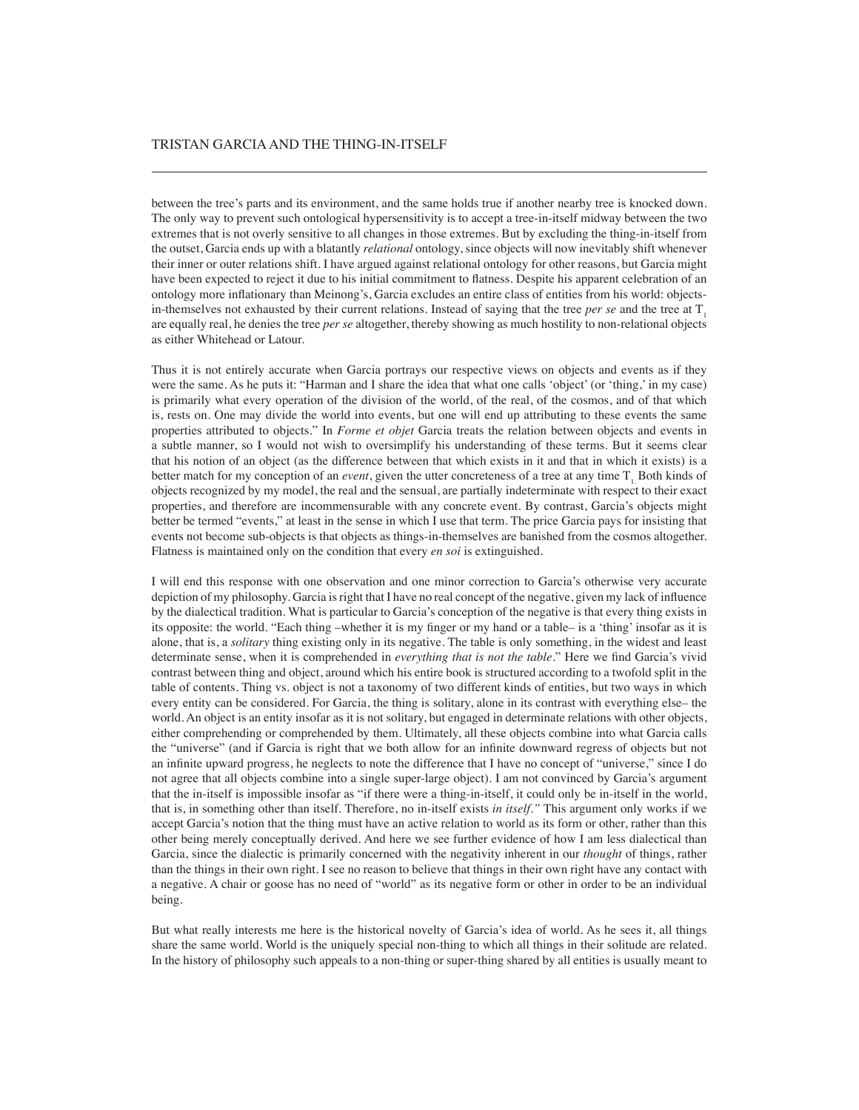## TRISTAN GARCIA AND THE THING-IN-ITSELF

between the tree's parts and its environment, and the same holds true if another nearby tree is knocked down. The only way to prevent such ontological hypersensitivity is to accept a tree-in-itself midway between the two extremes that is not overly sensitive to all changes in those extremes. But by excluding the thing-in-itself from the outset, Garcia ends up with a blatantly *relational* ontology, since objects will now inevitably shift whenever their inner or outer relations shift. I have argued against relational ontology for other reasons, but Garcia might have been expected to reject it due to his initial commitment to flatness. Despite his apparent celebration of an ontology more inflationary than Meinong's, Garcia excludes an entire class of entities from his world: objectsin-themselves not exhausted by their current relations. Instead of saying that the tree *per se* and the tree at  $T<sub>1</sub>$ are equally real, he denies the tree *per se* altogether, thereby showing as much hostility to non-relational objects as either Whitehead or Latour.

Thus it is not entirely accurate when Garcia portrays our respective views on objects and events as if they were the same. As he puts it: "Harman and I share the idea that what one calls 'object' (or 'thing,' in my case) is primarily what every operation of the division of the world, of the real, of the cosmos, and of that which is, rests on. One may divide the world into events, but one will end up attributing to these events the same properties attributed to objects." In *Forme et objet* Garcia treats the relation between objects and events in a subtle manner, so I would not wish to oversimplify his understanding of these terms. But it seems clear that his notion of an object (as the difference between that which exists in it and that in which it exists) is a better match for my conception of an *event*, given the utter concreteness of a tree at any time T<sub>1</sub> Both kinds of objects recognized by my model, the real and the sensual, are partially indeterminate with respect to their exact properties, and therefore are incommensurable with any concrete event. By contrast, Garcia's objects might better be termed "events," at least in the sense in which I use that term. The price Garcia pays for insisting that events not become sub-objects is that objects as things-in-themselves are banished from the cosmos altogether. Flatness is maintained only on the condition that every *en soi* is extinguished.

I will end this response with one observation and one minor correction to Garcia's otherwise very accurate depiction of my philosophy. Garcia is right that I have no real concept of the negative, given my lack of influence by the dialectical tradition. What is particular to Garcia's conception of the negative is that every thing exists in its opposite: the world. "Each thing –whether it is my finger or my hand or a table– is a 'thing' insofar as it is alone, that is, a *solitary* thing existing only in its negative. The table is only something, in the widest and least determinate sense, when it is comprehended in *everything that is not the table*." Here we find Garcia's vivid contrast between thing and object, around which his entire book is structured according to a twofold split in the table of contents. Thing vs. object is not a taxonomy of two different kinds of entities, but two ways in which every entity can be considered. For Garcia, the thing is solitary, alone in its contrast with everything else– the world. An object is an entity insofar as it is not solitary, but engaged in determinate relations with other objects, either comprehending or comprehended by them. Ultimately, all these objects combine into what Garcia calls the "universe" (and if Garcia is right that we both allow for an infinite downward regress of objects but not an infinite upward progress, he neglects to note the difference that I have no concept of "universe," since I do not agree that all objects combine into a single super-large object). I am not convinced by Garcia's argument that the in-itself is impossible insofar as "if there were a thing-in-itself, it could only be in-itself in the world, that is, in something other than itself. Therefore, no in-itself exists *in itself."* This argument only works if we accept Garcia's notion that the thing must have an active relation to world as its form or other, rather than this other being merely conceptually derived. And here we see further evidence of how I am less dialectical than Garcia, since the dialectic is primarily concerned with the negativity inherent in our *thought* of things, rather than the things in their own right. I see no reason to believe that things in their own right have any contact with a negative. A chair or goose has no need of "world" as its negative form or other in order to be an individual being.

But what really interests me here is the historical novelty of Garcia's idea of world. As he sees it, all things share the same world. World is the uniquely special non-thing to which all things in their solitude are related. In the history of philosophy such appeals to a non-thing or super-thing shared by all entities is usually meant to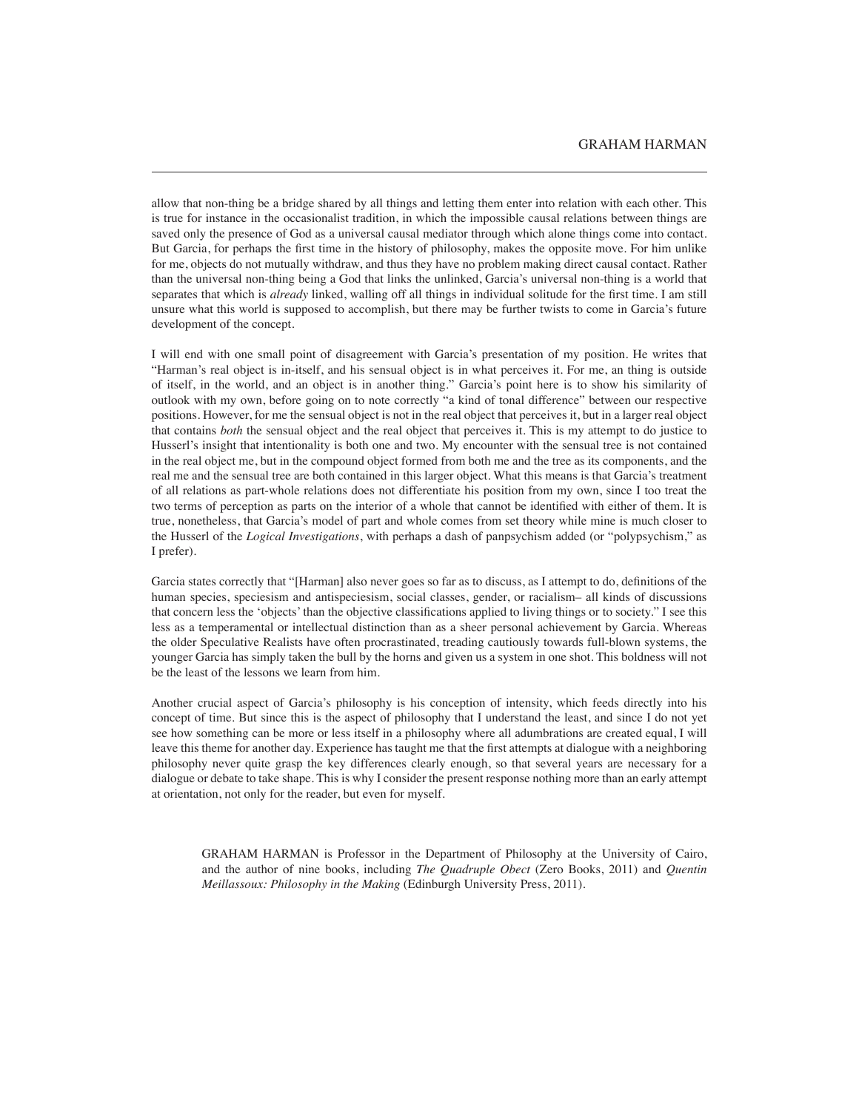allow that non-thing be a bridge shared by all things and letting them enter into relation with each other. This is true for instance in the occasionalist tradition, in which the impossible causal relations between things are saved only the presence of God as a universal causal mediator through which alone things come into contact. But Garcia, for perhaps the first time in the history of philosophy, makes the opposite move. For him unlike for me, objects do not mutually withdraw, and thus they have no problem making direct causal contact. Rather than the universal non-thing being a God that links the unlinked, Garcia's universal non-thing is a world that separates that which is *already* linked, walling off all things in individual solitude for the first time. I am still unsure what this world is supposed to accomplish, but there may be further twists to come in Garcia's future development of the concept.

I will end with one small point of disagreement with Garcia's presentation of my position. He writes that "Harman's real object is in-itself, and his sensual object is in what perceives it. For me, an thing is outside of itself, in the world, and an object is in another thing." Garcia's point here is to show his similarity of outlook with my own, before going on to note correctly "a kind of tonal difference" between our respective positions. However, for me the sensual object is not in the real object that perceives it, but in a larger real object that contains *both* the sensual object and the real object that perceives it. This is my attempt to do justice to Husserl's insight that intentionality is both one and two. My encounter with the sensual tree is not contained in the real object me, but in the compound object formed from both me and the tree as its components, and the real me and the sensual tree are both contained in this larger object. What this means is that Garcia's treatment of all relations as part-whole relations does not differentiate his position from my own, since I too treat the two terms of perception as parts on the interior of a whole that cannot be identified with either of them. It is true, nonetheless, that Garcia's model of part and whole comes from set theory while mine is much closer to the Husserl of the *Logical Investigations*, with perhaps a dash of panpsychism added (or "polypsychism," as I prefer).

Garcia states correctly that "[Harman] also never goes so far as to discuss, as I attempt to do, definitions of the human species, speciesism and antispeciesism, social classes, gender, or racialism– all kinds of discussions that concern less the 'objects' than the objective classifications applied to living things or to society." I see this less as a temperamental or intellectual distinction than as a sheer personal achievement by Garcia. Whereas the older Speculative Realists have often procrastinated, treading cautiously towards full-blown systems, the younger Garcia has simply taken the bull by the horns and given us a system in one shot. This boldness will not be the least of the lessons we learn from him.

Another crucial aspect of Garcia's philosophy is his conception of intensity, which feeds directly into his concept of time. But since this is the aspect of philosophy that I understand the least, and since I do not yet see how something can be more or less itself in a philosophy where all adumbrations are created equal, I will leave this theme for another day. Experience has taught me that the first attempts at dialogue with a neighboring philosophy never quite grasp the key differences clearly enough, so that several years are necessary for a dialogue or debate to take shape. This is why I consider the present response nothing more than an early attempt at orientation, not only for the reader, but even for myself.

GRAHAM HARMAN is Professor in the Department of Philosophy at the University of Cairo, and the author of nine books, including *The Quadruple Obect* (Zero Books, 2011) and *Quentin Meillassoux: Philosophy in the Making* (Edinburgh University Press, 2011).